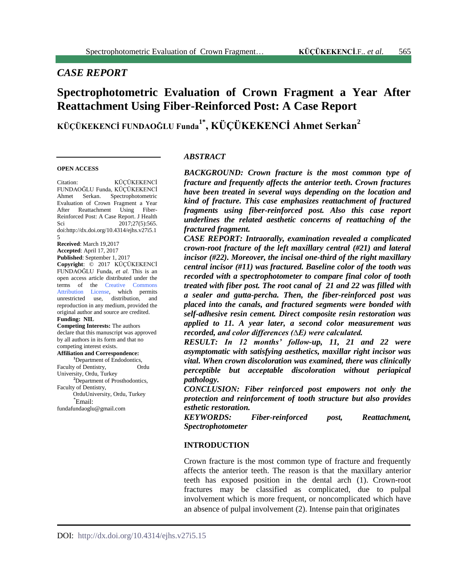# *CASE REPORT*

# **Spectrophotometric Evaluation of Crown Fragment a Year After Reattachment Using Fiber-Reinforced Post: A Case Report**

# **KÜÇÜKEKENCİ FUNDAOĞLU Funda1\*, KÜÇÜKEKENCİ Ahmet Serkan<sup>2</sup>**

#### **OPEN ACCESS**

Citation: KÜÇÜKEKENCİ FUNDAOĞLU Funda, KÜÇÜKEKENCİ Ahmet Serkan. Spectrophotometric Evaluation of Crown Fragment a Year After Reattachment Using Fiber-Reinforced Post: A Case Report. J Health Sci 2017;27(5):565. do[i:http://dx.doi.org/10.4314/ejhs.v27i5.1](http://dx.doi.org/10.4314/ejhs.v27i5.15) [5](http://dx.doi.org/10.4314/ejhs.v27i5.15) **Received**: March 19,2017 **Accepted**: April 17, 2017 **Published**: September 1, 2017 **Copyright**: © 2017 KÜÇÜKEKENCİ FUNDAOĞLU Funda, *et al*. This is an open access article distributed under the

terms of the Creative Commons Attribution License, which permits unrestricted use, distribution, and reproduction in any medium, provided the original author and source are credited. **Funding: NIL**

**Competing Interests:** The authors declare that this manuscript was approved by all authors in its form and that no competing interest exists.

**Affiliation and Correspondence:**

**<sup>1</sup>**Department of Endodontics, Faculty of Dentistry, Ordu University, Ordu, Turkey **<sup>2</sup>**Department of Prosthodontics, Faculty of Dentistry, OrduUniversity, Ordu, Turkey \*Email:

[fundafundaoglu@gmail.com](mailto:fundafundaoglu@gmail.com)

#### *ABSTRACT*

*BACKGROUND: Crown fracture is the most common type of fracture and frequently affects the anterior teeth. Crown fractures have been treated in several ways depending on the location and kind of fracture. This case emphasizes reattachment of fractured fragments using fiber-reinforced post. Also this case report underlines the related aesthetic concerns of reattaching of the fractured fragment.*

*CASE REPORT: Intraorally, examination revealed a complicated crown-root fracture of the left maxillary central (#21) and lateral incisor (#22). Moreover, the incisal one-third of the right maxillary central incisor (#11) was fractured. Baseline color of the tooth was recorded with a spectrophotometer to compare final color of tooth treated with fiber post. The root canal of 21 and 22 was filled with a sealer and gutta-percha. Then, the fiber-reinforced post was placed into the canals, and fractured segments were bonded with self-adhesive resin cement. Direct composite resin restoration was applied to 11. A year later, a second color measurement was recorded, and color differences (∆E) were calculated.* 

*RESULT: In 12 months' follow-up, 11, 21 and 22 were asymptomatic with satisfying aesthetics, maxillar right incisor was vital. When crown discoloration was examined, there was clinically perceptible but acceptable discoloration without periapical pathology.*

*CONCLUSION: Fiber reinforced post empowers not only the protection and reinforcement of tooth structure but also provides esthetic restoration.*

*KEYWORDS: Fiber-reinforced post, Reattachment, Spectrophotometer*

# **INTRODUCTION**

Crown fracture is the most common type of fracture and frequently affects the anterior teeth. The reason is that the maxillary anterior teeth has exposed position in the dental arch (1). Crown-root fractures may be classified as complicated, due to pulpal involvement which is more frequent, or noncomplicated which have an absence of pulpal involvement (2). Intense pain that originates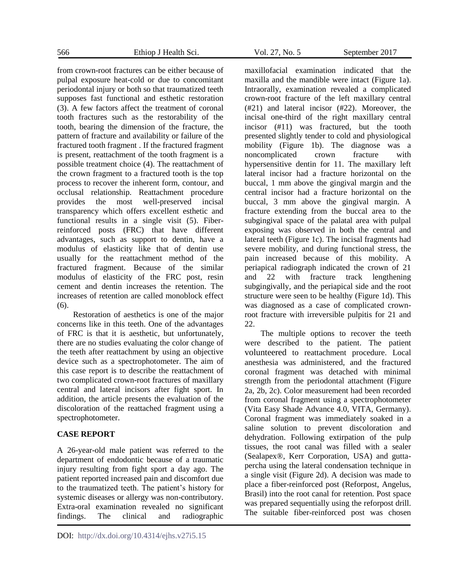from crown-root fractures can be either because of pulpal exposure heat-cold or due to concomitant periodontal injury or both so that traumatized teeth supposes fast functional and esthetic restoration (3). A few factors affect the treatment of coronal tooth fractures such as the restorability of the tooth, bearing the dimension of the fracture, the pattern of fracture and availability or failure of the fractured tooth fragment . If the fractured fragment is present, reattachment of the tooth fragment is a possible treatment choice (4). The reattachment of the crown fragment to a fractured tooth is the top process to recover the inherent form, contour, and occlusal relationship. Reattachment procedure provides the most well-preserved incisal transparency which offers excellent esthetic and functional results in a single visit (5). Fiberreinforced posts (FRC) that have different advantages, such as support to dentin, have a modulus of elasticity like that of dentin use usually for the reattachment method of the fractured fragment. Because of the similar modulus of elasticity of the FRC post, resin cement and dentin increases the retention. The increases of retention are called monoblock effect (6).

Restoration of aesthetics is one of the major concerns like in this teeth. One of the advantages of FRC is that it is aesthetic, but unfortunately, there are no studies evaluating the color change of the teeth after reattachment by using an objective device such as a spectrophotometer. The aim of this case report is to describe the reattachment of two complicated crown-root fractures of maxillary central and lateral incisors after fight sport. In addition, the article presents the evaluation of the discoloration of the reattached fragment using a spectrophotometer.

# **CASE REPORT**

A 26-year-old male patient was referred to the department of endodontic because of a traumatic injury resulting from fight sport a day ago. The patient reported increased pain and discomfort due to the traumatized teeth. The patient's history for systemic diseases or allergy was non-contributory. Extra-oral examination revealed no significant findings. The clinical and radiographic

maxillofacial examination indicated that the maxilla and the mandible were intact (Figure 1a). Intraorally, examination revealed a complicated crown-root fracture of the left maxillary central (#21) and lateral incisor (#22). Moreover, the incisal one-third of the right maxillary central incisor (#11) was fractured, but the tooth presented slightly tender to cold and physiological mobility (Figure 1b). The diagnose was a noncomplicated crown fracture with hypersensitive dentin for 11. The maxillary left lateral incisor had a fracture horizontal on the buccal, 1 mm above the gingival margin and the central incisor had a fracture horizontal on the buccal, 3 mm above the gingival margin. A fracture extending from the buccal area to the subgingival space of the palatal area with pulpal exposing was observed in both the central and lateral teeth (Figure 1c). The incisal fragments had severe mobility, and during functional stress, the pain increased because of this mobility. A periapical radiograph indicated the crown of 21 and 22 with fracture track lengthening subgingivally, and the periapical side and the root structure were seen to be healthy (Figure 1d). This was diagnosed as a case of complicated crownroot fracture with irreversible pulpitis for 21 and 22.

The multiple options to recover the teeth were described to the patient. The patient volunteered to reattachment procedure. Local anesthesia was administered, and the fractured coronal fragment was detached with minimal strength from the periodontal attachment (Figure 2a, 2b, 2c). Color measurement had been recorded from coronal fragment using a spectrophotometer (Vita Easy Shade Advance 4.0, VITA, Germany). Coronal fragment was immediately soaked in a saline solution to prevent discoloration and dehydration. Following extirpation of the pulp tissues, the root canal was filled with a sealer (Sealapex®, Kerr Corporation, USA) and guttapercha using the lateral condensation technique in a single visit (Figure 2d). A decision was made to place a fiber-reinforced post (Reforpost, Angelus, Brasil) into the root canal for retention. Post space was prepared sequentially using the reforpost drill. The suitable fiber-reinforced post was chosen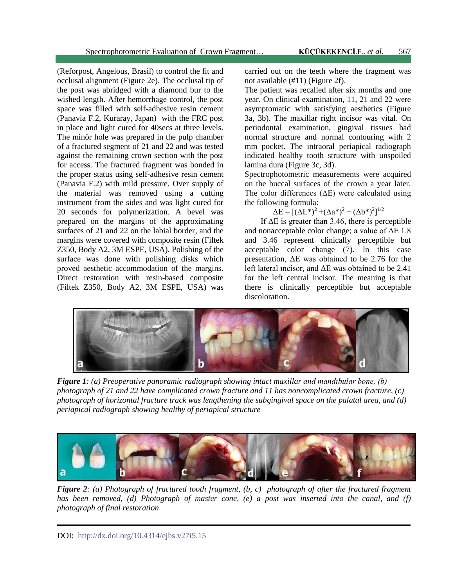(Reforpost, Angelous, Brasil) to control the fit and occlusal alignment (Figure 2e). The occlusal tip of the post was abridged with a diamond bur to the wished length. After hemorrhage control, the post space was filled with self-adhesive resin cement (Panavia F.2, Kuraray, Japan) with the FRC post in place and light cured for 40secs at three levels. The minör hole was prepared in the pulp chamber of a fractured segment of 21 and 22 and was tested against the remaining crown section with the post for access. The fractured fragment was bonded in the proper status using self-adhesive resin cement (Panavia F.2) with mild pressure. Over supply of the material was removed using a cutting instrument from the sides and was light cured for 20 seconds for polymerization. A bevel was prepared on the margins of the approximating surfaces of 21 and 22 on the labial border, and the margins were covered with composite resin (Filtek Z350, Body A2, 3M ESPE, USA). Polishing of the surface was done with polishing disks which proved aesthetic accommodation of the margins. Direct restoration with resin-based composite (Filtek Z350, Body A2, 3M ESPE, USA) was

carried out on the teeth where the fragment was not available (#11) (Figure 2f).

The patient was recalled after six months and one year. On clinical examination, 11, 21 and 22 were asymptomatic with satisfying aesthetics (Figure 3a, 3b). The maxillar right incisor was vital. On periodontal examination, gingival tissues had normal structure and normal contouring with 2 mm pocket. The intraoral periapical radiograph indicated healthy tooth structure with unspoiled lamina dura (Figure 3c, 3d).

Spectrophotometric measurements were acquired on the buccal surfaces of the crown a year later. The color differences  $(\Delta E)$  were calculated using the following formula:

 $\Delta E = [(\Delta L^*)^2 + (\Delta a^*)^2 + (\Delta b^*)^2]^{1/2}$ 

If  $\Delta E$  is greater than 3.46, there is perceptible and nonacceptable color change; a value of ΔE 1.8 and 3.46 represent clinically perceptible but acceptable color change (7). In this case presentation, ΔE was obtained to be 2.76 for the left lateral ıncisor, and ΔE was obtained to be 2.41 for the left central incisor. The meaning is that there is clinically perceptible but acceptable discoloration.



*Figure 1: (a) Preoperative panoramic radiograph showing intact maxillar and mandıbular bone, (b) photograph of 21 and 22 have complicated crown fracture and 11 has noncomplicated crown fracture, (c) photograph of horizontal fracture track was lengthening the subgingival space on the palatal area, and (d) periapical radiograph showing healthy of periapical structure*



*Figure 2: (a) Photograph of fractured tooth fragment, (b, c) photograph of after the fractured fragment has been removed, (d) Photograph of master cone, (e) a post was inserted into the canal, and (f) photograph of final restoration*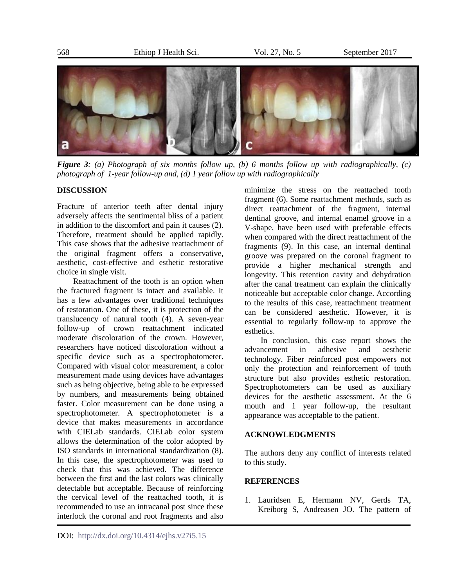

*Figure 3: (a) Photograph of six months follow up, (b) 6 months follow up with radiographically, (c) photograph of 1-year follow-up and, (d) 1 year follow up with radiographically*

### **DISCUSSION**

Fracture of anterior teeth after dental injury adversely affects the sentimental bliss of a patient in addition to the discomfort and pain it causes (2). Therefore, treatment should be applied rapidly. This case shows that the adhesive reattachment of the original fragment offers a conservative, aesthetic, cost-effective and esthetic restorative choice in single visit.

Reattachment of the tooth is an option when the fractured fragment is intact and available. It has a few advantages over traditional techniques of restoration. One of these, it is protection of the translucency of natural tooth (4). A seven-year follow-up of crown reattachment indicated moderate discoloration of the crown. However, researchers have noticed discoloration without a specific device such as a spectrophotometer. Compared with visual color measurement, a color measurement made using devices have advantages such as being objective, being able to be expressed by numbers, and measurements being obtained faster. Color measurement can be done using a spectrophotometer. A spectrophotometer is a device that makes measurements in accordance with CIELab standards. CIELab color system allows the determination of the color adopted by ISO standards in international standardization (8). In this case, the spectrophotometer was used to check that this was achieved. The difference between the first and the last colors was clinically detectable but acceptable. Because of reinforcing the cervical level of the reattached tooth, it is recommended to use an intracanal post since these interlock the coronal and root fragments and also

minimize the stress on the reattached tooth fragment (6). Some reattachment methods, such as direct reattachment of the fragment, internal dentinal groove, and internal enamel groove in a V-shape, have been used with preferable effects when compared with the direct reattachment of the fragments (9). In this case, an internal dentinal groove was prepared on the coronal fragment to provide a higher mechanical strength and longevity. This retention cavity and dehydration after the canal treatment can explain the clinically noticeable but acceptable color change. According to the results of this case, reattachment treatment can be considered aesthetic. However, it is essential to regularly follow-up to approve the esthetics.

In conclusion, this case report shows the advancement in adhesive and aesthetic technology. Fiber reinforced post empowers not only the protection and reinforcement of tooth structure but also provides esthetic restoration. Spectrophotometers can be used as auxiliary devices for the aesthetic assessment. At the 6 mouth and 1 year follow-up, the resultant appearance was acceptable to the patient.

### **ACKNOWLEDGMENTS**

The authors deny any conflict of interests related to this study.

### **REFERENCES**

1. Lauridsen E, Hermann NV, Gerds TA, Kreiborg S, Andreasen JO. The pattern of